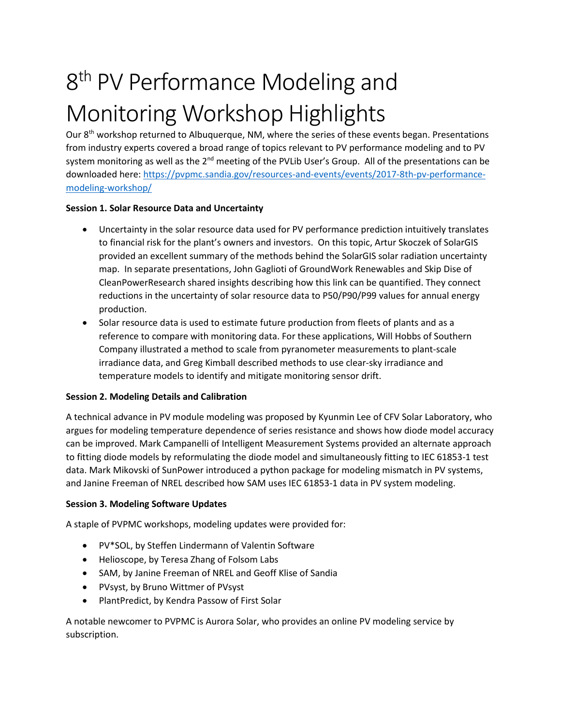# 8<sup>th</sup> PV Performance Modeling and Monitoring Workshop Highlights

Our  $8<sup>th</sup>$  workshop returned to Albuquerque, NM, where the series of these events began. Presentations from industry experts covered a broad range of topics relevant to PV performance modeling and to PV system monitoring as well as the 2<sup>nd</sup> meeting of the PVLib User's Group. All of the presentations can be downloaded here: [https://pvpmc.sandia.gov/resources-and-events/events/2017-8th-pv-performance](https://pvpmc.sandia.gov/resources-and-events/events/2017-8th-pv-performance-modeling-workshop/)[modeling-workshop/](https://pvpmc.sandia.gov/resources-and-events/events/2017-8th-pv-performance-modeling-workshop/)

## **Session 1. Solar Resource Data and Uncertainty**

- Uncertainty in the solar resource data used for PV performance prediction intuitively translates to financial risk for the plant's owners and investors. On this topic, Artur Skoczek of SolarGIS provided an excellent summary of the methods behind the SolarGIS solar radiation uncertainty map. In separate presentations, John Gaglioti of GroundWork Renewables and Skip Dise of CleanPowerResearch shared insights describing how this link can be quantified. They connect reductions in the uncertainty of solar resource data to P50/P90/P99 values for annual energy production.
- Solar resource data is used to estimate future production from fleets of plants and as a reference to compare with monitoring data. For these applications, Will Hobbs of Southern Company illustrated a method to scale from pyranometer measurements to plant-scale irradiance data, and Greg Kimball described methods to use clear-sky irradiance and temperature models to identify and mitigate monitoring sensor drift.

# **Session 2. Modeling Details and Calibration**

A technical advance in PV module modeling was proposed by Kyunmin Lee of CFV Solar Laboratory, who argues for modeling temperature dependence of series resistance and shows how diode model accuracy can be improved. Mark Campanelli of Intelligent Measurement Systems provided an alternate approach to fitting diode models by reformulating the diode model and simultaneously fitting to IEC 61853-1 test data. Mark Mikovski of SunPower introduced a python package for modeling mismatch in PV systems, and Janine Freeman of NREL described how SAM uses IEC 61853-1 data in PV system modeling.

## **Session 3. Modeling Software Updates**

A staple of PVPMC workshops, modeling updates were provided for:

- PV\*SOL, by Steffen Lindermann of Valentin Software
- Helioscope, by Teresa Zhang of Folsom Labs
- SAM, by Janine Freeman of NREL and Geoff Klise of Sandia
- PVsyst, by Bruno Wittmer of PVsyst
- PlantPredict, by Kendra Passow of First Solar

A notable newcomer to PVPMC is Aurora Solar, who provides an online PV modeling service by subscription.